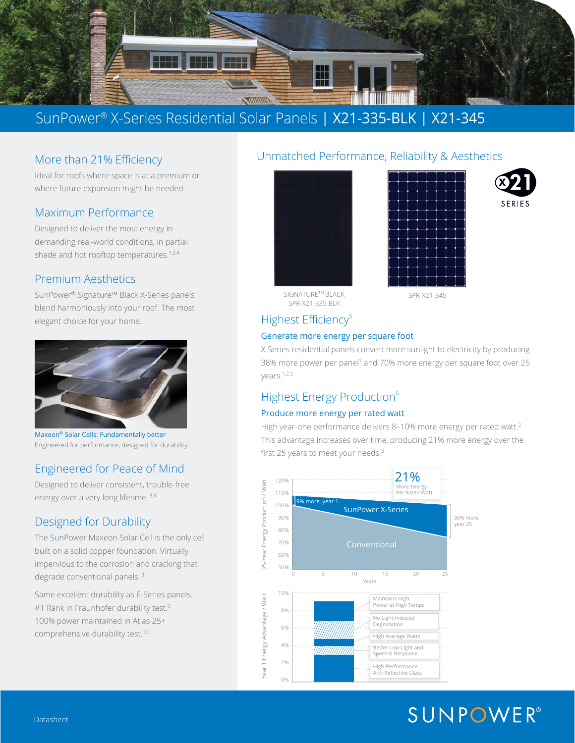

## SunPower® X-Series Residential Solar Panels | X21-335-BLK | X21-345

## More than 21% Efficiency

Ideal for roofs where space is at a premium or where future expansion might be needed.

### Maximum Performance

Designed to deliver the most energy in demanding real-world conditions, in partial shade and hot rooftop temperatures.<sup>1,2,4</sup>

### Premium Aesthetics

SunPower® Signature™ Black X-Series panels blend harmoniously into your roof. The most elegant choice for your home.



Maxeon® Solar Cells: Fundamentally better Engineered for performance, designed for durability.

## Engineered for Peace of Mind

Designed to deliver consistent, trouble-free energy over a very long lifetime. 3,4

## Designed for Durability

The SunPower Maxeon Solar Cell is the only cell built on a solid copper foundation. Virtually impervious to the corrosion and cracking that degrade conventional panels.<sup>3</sup>

Same excellent durability as E-Series panels. #1 Rank in Fraunhofer durability test.<sup>9</sup> 100% power maintained in Atlas 25+ comprehensive durability test.10

### Unmatched Performance, Reliability & Aesthetics







SIGNATURETM BLACK

SPR-X21-345

## Highest Efficiency<sup>5</sup>

SPR-X21-335-BLK

#### Generate more energy per square foot

X-Series residential panels convert more sunlight to electricity by producing 38% more power per panel<sup>1</sup> and 70% more energy per square foot over 25 years.1,2,3

## Highest Energy Production<sup>6</sup>

#### Produce more energy per rated watt

High year-one performance delivers 8-10% more energy per rated watt.<sup>2</sup> This advantage increases over time, producing 21% more energy over the first 25 years to meet your needs.<sup>3</sup>



# **SUNPOWER®**